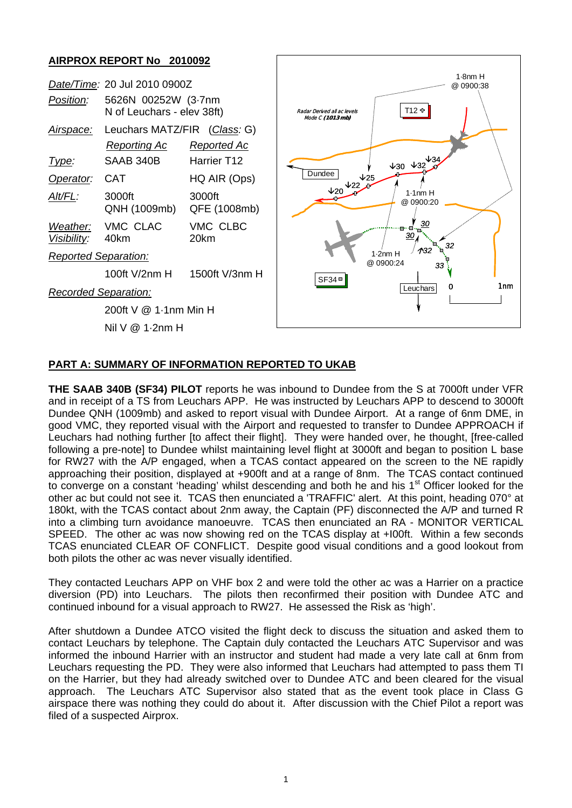## **AIRPROX REPORT No 2010092**

| Position:                   | Date/Time: 20 Jul 2010 0900Z<br>5626N 00252W (3.7nm<br>N of Leuchars - elev 38ft) |                                               | $1.8nm$ H<br>@0900:38<br>T12 ቀ<br>Radar Derived all ac levels<br>Mode C (1013 mb) |
|-----------------------------|-----------------------------------------------------------------------------------|-----------------------------------------------|-----------------------------------------------------------------------------------|
| Airspace:<br><u>Type:</u>   | Leuchars MATZ/FIR (Class: G)<br><b>Reporting Ac</b><br>SAAB 340B                  | <b>Reported Ac</b><br>Harrier T <sub>12</sub> | $430 \times 32^{434}$                                                             |
| Operator:                   | <b>CAT</b>                                                                        | HQ AIR (Ops)                                  | Dundee<br>$\sqrt{25}$                                                             |
| Alt/FL:                     | 3000ft<br>QNH (1009mb)                                                            | 3000ft<br>QFE (1008mb)                        | $V_20V_2$<br>$1.1nm$ H<br>@ 0900:20                                               |
| Weather:<br>Visibility:     | VMC CLAC<br>40km                                                                  | VMC CLBC<br>20km                              | <u>30</u><br>32                                                                   |
| <b>Reported Separation:</b> |                                                                                   |                                               | $\Lambda$ 32<br>$1.2nm$ H<br>@ 0900:24                                            |
|                             | 100ft V/2nm H                                                                     | 1500ft V/3nm H                                | 33<br>$SF34 =$                                                                    |
| Recorded Separation:        |                                                                                   |                                               | 1nm<br>0<br>Leuchars                                                              |
|                             | 200ft V @ 1-1nm Min H                                                             |                                               |                                                                                   |
| Nil $V \otimes 1.2$ nm H    |                                                                                   |                                               |                                                                                   |

## **PART A: SUMMARY OF INFORMATION REPORTED TO UKAB**

**THE SAAB 340B (SF34) PILOT** reports he was inbound to Dundee from the S at 7000ft under VFR and in receipt of a TS from Leuchars APP. He was instructed by Leuchars APP to descend to 3000ft Dundee QNH (1009mb) and asked to report visual with Dundee Airport. At a range of 6nm DME, in good VMC, they reported visual with the Airport and requested to transfer to Dundee APPROACH if Leuchars had nothing further [to affect their flight]. They were handed over, he thought, [free-called following a pre-note] to Dundee whilst maintaining level flight at 3000ft and began to position L base for RW27 with the A/P engaged, when a TCAS contact appeared on the screen to the NE rapidly approaching their position, displayed at +900ft and at a range of 8nm. The TCAS contact continued to converge on a constant 'heading' whilst descending and both he and his  $1<sup>st</sup>$  Officer looked for the other ac but could not see it. TCAS then enunciated a 'TRAFFIC' alert. At this point, heading 070° at 180kt, with the TCAS contact about 2nm away, the Captain (PF) disconnected the A/P and turned R into a climbing turn avoidance manoeuvre. TCAS then enunciated an RA - MONITOR VERTICAL SPEED. The other ac was now showing red on the TCAS display at +I00ft. Within a few seconds TCAS enunciated CLEAR OF CONFLICT. Despite good visual conditions and a good lookout from both pilots the other ac was never visually identified.

They contacted Leuchars APP on VHF box 2 and were told the other ac was a Harrier on a practice diversion (PD) into Leuchars. The pilots then reconfirmed their position with Dundee ATC and continued inbound for a visual approach to RW27. He assessed the Risk as 'high'.

After shutdown a Dundee ATCO visited the flight deck to discuss the situation and asked them to contact Leuchars by telephone. The Captain duly contacted the Leuchars ATC Supervisor and was informed the inbound Harrier with an instructor and student had made a very late call at 6nm from Leuchars requesting the PD. They were also informed that Leuchars had attempted to pass them TI on the Harrier, but they had already switched over to Dundee ATC and been cleared for the visual approach. The Leuchars ATC Supervisor also stated that as the event took place in Class G airspace there was nothing they could do about it. After discussion with the Chief Pilot a report was filed of a suspected Airprox.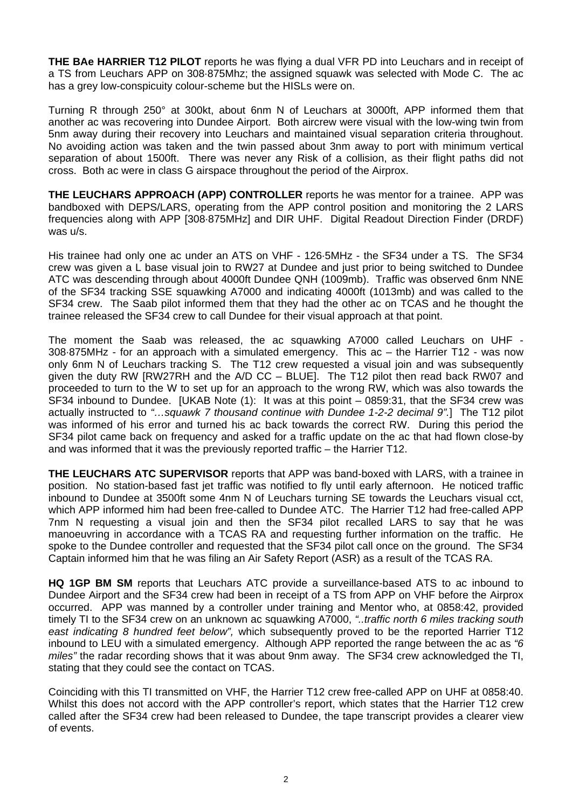**THE BAe HARRIER T12 PILOT** reports he was flying a dual VFR PD into Leuchars and in receipt of a TS from Leuchars APP on 308·875Mhz; the assigned squawk was selected with Mode C. The ac has a grey low-conspicuity colour-scheme but the HISLs were on.

Turning R through 250° at 300kt, about 6nm N of Leuchars at 3000ft, APP informed them that another ac was recovering into Dundee Airport. Both aircrew were visual with the low-wing twin from 5nm away during their recovery into Leuchars and maintained visual separation criteria throughout. No avoiding action was taken and the twin passed about 3nm away to port with minimum vertical separation of about 1500ft. There was never any Risk of a collision, as their flight paths did not cross. Both ac were in class G airspace throughout the period of the Airprox.

**THE LEUCHARS APPROACH (APP) CONTROLLER** reports he was mentor for a trainee. APP was bandboxed with DEPS/LARS, operating from the APP control position and monitoring the 2 LARS frequencies along with APP [308·875MHz] and DIR UHF. Digital Readout Direction Finder (DRDF) was u/s.

His trainee had only one ac under an ATS on VHF - 126·5MHz - the SF34 under a TS. The SF34 crew was given a L base visual join to RW27 at Dundee and just prior to being switched to Dundee ATC was descending through about 4000ft Dundee QNH (1009mb). Traffic was observed 6nm NNE of the SF34 tracking SSE squawking A7000 and indicating 4000ft (1013mb) and was called to the SF34 crew. The Saab pilot informed them that they had the other ac on TCAS and he thought the trainee released the SF34 crew to call Dundee for their visual approach at that point.

The moment the Saab was released, the ac squawking A7000 called Leuchars on UHF - 308·875MHz - for an approach with a simulated emergency. This ac – the Harrier T12 - was now only 6nm N of Leuchars tracking S. The T12 crew requested a visual join and was subsequently given the duty RW [RW27RH and the A/D CC – BLUE]. The T12 pilot then read back RW07 and proceeded to turn to the W to set up for an approach to the wrong RW, which was also towards the SF34 inbound to Dundee. [UKAB Note (1): It was at this point – 0859:31, that the SF34 crew was actually instructed to *"…squawk 7 thousand continue with Dundee 1-2-2 decimal 9".*] The T12 pilot was informed of his error and turned his ac back towards the correct RW. During this period the SF34 pilot came back on frequency and asked for a traffic update on the ac that had flown close-by and was informed that it was the previously reported traffic – the Harrier T12.

**THE LEUCHARS ATC SUPERVISOR** reports that APP was band-boxed with LARS, with a trainee in position. No station-based fast jet traffic was notified to fly until early afternoon. He noticed traffic inbound to Dundee at 3500ft some 4nm N of Leuchars turning SE towards the Leuchars visual cct, which APP informed him had been free-called to Dundee ATC. The Harrier T12 had free-called APP 7nm N requesting a visual join and then the SF34 pilot recalled LARS to say that he was manoeuvring in accordance with a TCAS RA and requesting further information on the traffic. He spoke to the Dundee controller and requested that the SF34 pilot call once on the ground. The SF34 Captain informed him that he was filing an Air Safety Report (ASR) as a result of the TCAS RA.

**HQ 1GP BM SM** reports that Leuchars ATC provide a surveillance-based ATS to ac inbound to Dundee Airport and the SF34 crew had been in receipt of a TS from APP on VHF before the Airprox occurred. APP was manned by a controller under training and Mentor who, at 0858:42, provided timely TI to the SF34 crew on an unknown ac squawking A7000, *"..traffic north 6 miles tracking south east indicating 8 hundred feet below",* which subsequently proved to be the reported Harrier T12 inbound to LEU with a simulated emergency. Although APP reported the range between the ac as *"6 miles"* the radar recording shows that it was about 9nm away. The SF34 crew acknowledged the TI, stating that they could see the contact on TCAS.

Coinciding with this TI transmitted on VHF, the Harrier T12 crew free-called APP on UHF at 0858:40. Whilst this does not accord with the APP controller's report, which states that the Harrier T12 crew called after the SF34 crew had been released to Dundee, the tape transcript provides a clearer view of events.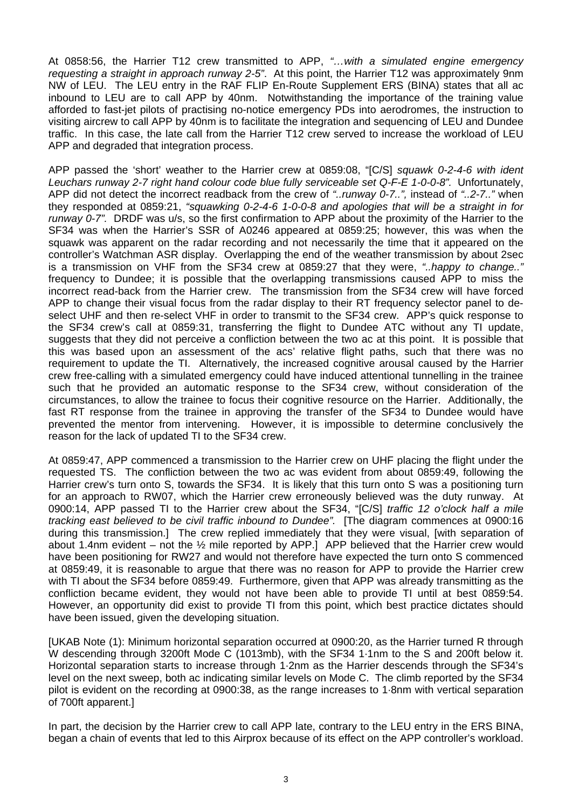At 0858:56, the Harrier T12 crew transmitted to APP, *"…with a simulated engine emergency requesting a straight in approach runway 2-5"*. At this point, the Harrier T12 was approximately 9nm NW of LEU. The LEU entry in the RAF FLIP En-Route Supplement ERS (BINA) states that all ac inbound to LEU are to call APP by 40nm. Notwithstanding the importance of the training value afforded to fast-jet pilots of practising no-notice emergency PDs into aerodromes, the instruction to visiting aircrew to call APP by 40nm is to facilitate the integration and sequencing of LEU and Dundee traffic. In this case, the late call from the Harrier T12 crew served to increase the workload of LEU APP and degraded that integration process.

APP passed the 'short' weather to the Harrier crew at 0859:08, "[C/S] *squawk 0-2-4-6 with ident*  Leuchars runway 2-7 right hand colour code blue fully serviceable set Q-F-E 1-0-0-8". Unfortunately, APP did not detect the incorrect readback from the crew of *"..runway 0-7..",* instead of *"..2-7.."* when they responded at 0859:21, *"squawking 0-2-4-6 1-0-0-8 and apologies that will be a straight in for runway 0-7".* DRDF was u/s, so the first confirmation to APP about the proximity of the Harrier to the SF34 was when the Harrier's SSR of A0246 appeared at 0859:25; however, this was when the squawk was apparent on the radar recording and not necessarily the time that it appeared on the controller's Watchman ASR display. Overlapping the end of the weather transmission by about 2sec is a transmission on VHF from the SF34 crew at 0859:27 that they were, *"..happy to change.."* frequency to Dundee; it is possible that the overlapping transmissions caused APP to miss the incorrect read-back from the Harrier crew. The transmission from the SF34 crew will have forced APP to change their visual focus from the radar display to their RT frequency selector panel to deselect UHF and then re-select VHF in order to transmit to the SF34 crew. APP's quick response to the SF34 crew's call at 0859:31, transferring the flight to Dundee ATC without any TI update, suggests that they did not perceive a confliction between the two ac at this point. It is possible that this was based upon an assessment of the acs' relative flight paths, such that there was no requirement to update the TI. Alternatively, the increased cognitive arousal caused by the Harrier crew free-calling with a simulated emergency could have induced attentional tunnelling in the trainee such that he provided an automatic response to the SF34 crew, without consideration of the circumstances, to allow the trainee to focus their cognitive resource on the Harrier. Additionally, the fast RT response from the trainee in approving the transfer of the SF34 to Dundee would have prevented the mentor from intervening. However, it is impossible to determine conclusively the reason for the lack of updated TI to the SF34 crew.

At 0859:47, APP commenced a transmission to the Harrier crew on UHF placing the flight under the requested TS. The confliction between the two ac was evident from about 0859:49, following the Harrier crew's turn onto S, towards the SF34. It is likely that this turn onto S was a positioning turn for an approach to RW07, which the Harrier crew erroneously believed was the duty runway. At 0900:14, APP passed TI to the Harrier crew about the SF34, "[C/S] *traffic 12 o'clock half a mile tracking east believed to be civil traffic inbound to Dundee".* [The diagram commences at 0900:16 during this transmission.] The crew replied immediately that they were visual, [with separation of about 1.4nm evident – not the  $\frac{1}{2}$  mile reported by APP.] APP believed that the Harrier crew would have been positioning for RW27 and would not therefore have expected the turn onto S commenced at 0859:49, it is reasonable to argue that there was no reason for APP to provide the Harrier crew with TI about the SF34 before 0859:49. Furthermore, given that APP was already transmitting as the confliction became evident, they would not have been able to provide TI until at best 0859:54. However, an opportunity did exist to provide TI from this point, which best practice dictates should have been issued, given the developing situation.

[UKAB Note (1): Minimum horizontal separation occurred at 0900:20, as the Harrier turned R through W descending through 3200ft Mode C (1013mb), with the SF34 1·1nm to the S and 200ft below it. Horizontal separation starts to increase through 1·2nm as the Harrier descends through the SF34's level on the next sweep, both ac indicating similar levels on Mode C. The climb reported by the SF34 pilot is evident on the recording at 0900:38, as the range increases to 1·8nm with vertical separation of 700ft apparent.]

In part, the decision by the Harrier crew to call APP late, contrary to the LEU entry in the ERS BINA, began a chain of events that led to this Airprox because of its effect on the APP controller's workload.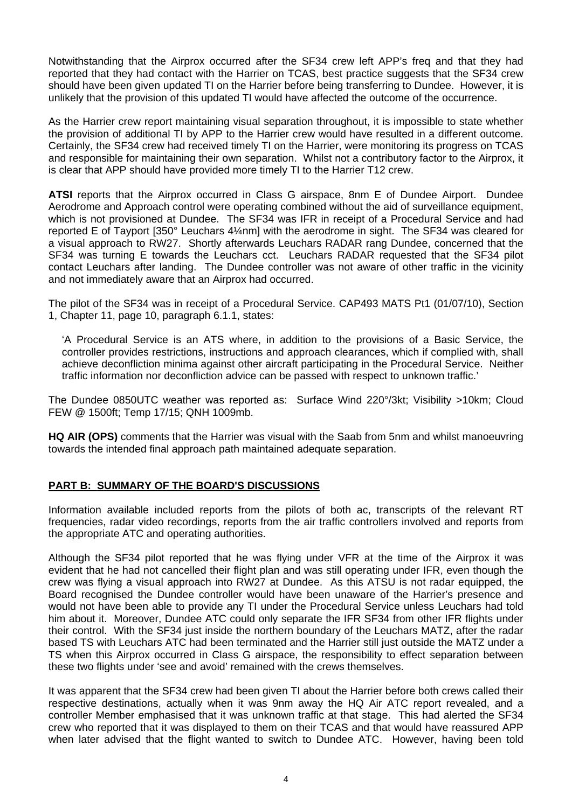Notwithstanding that the Airprox occurred after the SF34 crew left APP's freq and that they had reported that they had contact with the Harrier on TCAS, best practice suggests that the SF34 crew should have been given updated TI on the Harrier before being transferring to Dundee. However, it is unlikely that the provision of this updated TI would have affected the outcome of the occurrence.

As the Harrier crew report maintaining visual separation throughout, it is impossible to state whether the provision of additional TI by APP to the Harrier crew would have resulted in a different outcome. Certainly, the SF34 crew had received timely TI on the Harrier, were monitoring its progress on TCAS and responsible for maintaining their own separation. Whilst not a contributory factor to the Airprox, it is clear that APP should have provided more timely TI to the Harrier T12 crew.

**ATSI** reports that the Airprox occurred in Class G airspace, 8nm E of Dundee Airport. Dundee Aerodrome and Approach control were operating combined without the aid of surveillance equipment, which is not provisioned at Dundee. The SF34 was IFR in receipt of a Procedural Service and had reported E of Tayport [350° Leuchars 4¼nm] with the aerodrome in sight. The SF34 was cleared for a visual approach to RW27. Shortly afterwards Leuchars RADAR rang Dundee, concerned that the SF34 was turning E towards the Leuchars cct. Leuchars RADAR requested that the SF34 pilot contact Leuchars after landing. The Dundee controller was not aware of other traffic in the vicinity and not immediately aware that an Airprox had occurred.

The pilot of the SF34 was in receipt of a Procedural Service. CAP493 MATS Pt1 (01/07/10), Section 1, Chapter 11, page 10, paragraph 6.1.1, states:

'A Procedural Service is an ATS where, in addition to the provisions of a Basic Service, the controller provides restrictions, instructions and approach clearances, which if complied with, shall achieve deconfliction minima against other aircraft participating in the Procedural Service. Neither traffic information nor deconfliction advice can be passed with respect to unknown traffic.'

The Dundee 0850UTC weather was reported as: Surface Wind 220°/3kt; Visibility >10km; Cloud FEW @ 1500ft; Temp 17/15; QNH 1009mb.

**HQ AIR (OPS)** comments that the Harrier was visual with the Saab from 5nm and whilst manoeuvring towards the intended final approach path maintained adequate separation.

## **PART B: SUMMARY OF THE BOARD'S DISCUSSIONS**

Information available included reports from the pilots of both ac, transcripts of the relevant RT frequencies, radar video recordings, reports from the air traffic controllers involved and reports from the appropriate ATC and operating authorities.

Although the SF34 pilot reported that he was flying under VFR at the time of the Airprox it was evident that he had not cancelled their flight plan and was still operating under IFR, even though the crew was flying a visual approach into RW27 at Dundee. As this ATSU is not radar equipped, the Board recognised the Dundee controller would have been unaware of the Harrier's presence and would not have been able to provide any TI under the Procedural Service unless Leuchars had told him about it. Moreover, Dundee ATC could only separate the IFR SF34 from other IFR flights under their control. With the SF34 just inside the northern boundary of the Leuchars MATZ, after the radar based TS with Leuchars ATC had been terminated and the Harrier still just outside the MATZ under a TS when this Airprox occurred in Class G airspace, the responsibility to effect separation between these two flights under 'see and avoid' remained with the crews themselves.

It was apparent that the SF34 crew had been given TI about the Harrier before both crews called their respective destinations, actually when it was 9nm away the HQ Air ATC report revealed, and a controller Member emphasised that it was unknown traffic at that stage. This had alerted the SF34 crew who reported that it was displayed to them on their TCAS and that would have reassured APP when later advised that the flight wanted to switch to Dundee ATC. However, having been told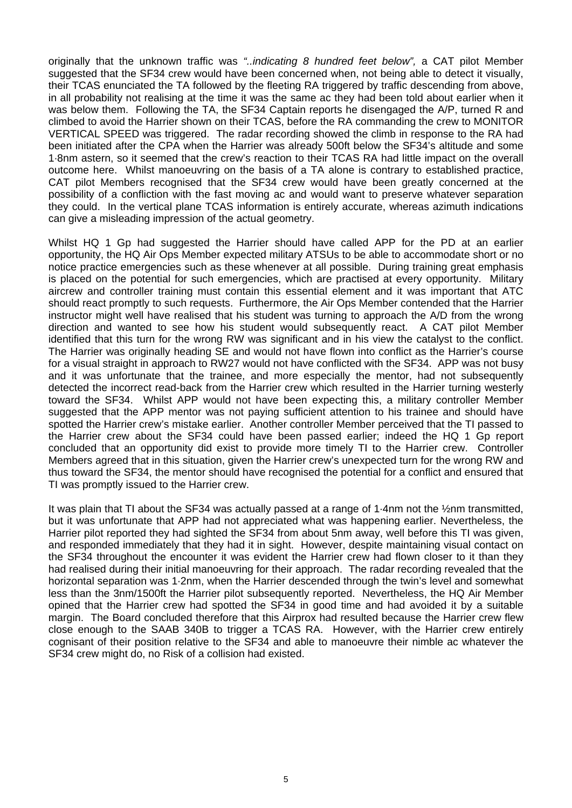originally that the unknown traffic was *"..indicating 8 hundred feet below",* a CAT pilot Member suggested that the SF34 crew would have been concerned when, not being able to detect it visually, their TCAS enunciated the TA followed by the fleeting RA triggered by traffic descending from above, in all probability not realising at the time it was the same ac they had been told about earlier when it was below them. Following the TA, the SF34 Captain reports he disengaged the A/P, turned R and climbed to avoid the Harrier shown on their TCAS, before the RA commanding the crew to MONITOR VERTICAL SPEED was triggered. The radar recording showed the climb in response to the RA had been initiated after the CPA when the Harrier was already 500ft below the SF34's altitude and some 1·8nm astern, so it seemed that the crew's reaction to their TCAS RA had little impact on the overall outcome here. Whilst manoeuvring on the basis of a TA alone is contrary to established practice, CAT pilot Members recognised that the SF34 crew would have been greatly concerned at the possibility of a confliction with the fast moving ac and would want to preserve whatever separation they could. In the vertical plane TCAS information is entirely accurate, whereas azimuth indications can give a misleading impression of the actual geometry.

Whilst HQ 1 Gp had suggested the Harrier should have called APP for the PD at an earlier opportunity, the HQ Air Ops Member expected military ATSUs to be able to accommodate short or no notice practice emergencies such as these whenever at all possible. During training great emphasis is placed on the potential for such emergencies, which are practised at every opportunity. Military aircrew and controller training must contain this essential element and it was important that ATC should react promptly to such requests. Furthermore, the Air Ops Member contended that the Harrier instructor might well have realised that his student was turning to approach the A/D from the wrong direction and wanted to see how his student would subsequently react. A CAT pilot Member identified that this turn for the wrong RW was significant and in his view the catalyst to the conflict. The Harrier was originally heading SE and would not have flown into conflict as the Harrier's course for a visual straight in approach to RW27 would not have conflicted with the SF34. APP was not busy and it was unfortunate that the trainee, and more especially the mentor, had not subsequently detected the incorrect read-back from the Harrier crew which resulted in the Harrier turning westerly toward the SF34. Whilst APP would not have been expecting this, a military controller Member suggested that the APP mentor was not paying sufficient attention to his trainee and should have spotted the Harrier crew's mistake earlier. Another controller Member perceived that the TI passed to the Harrier crew about the SF34 could have been passed earlier; indeed the HQ 1 Gp report concluded that an opportunity did exist to provide more timely TI to the Harrier crew. Controller Members agreed that in this situation, given the Harrier crew's unexpected turn for the wrong RW and thus toward the SF34, the mentor should have recognised the potential for a conflict and ensured that TI was promptly issued to the Harrier crew.

It was plain that TI about the SF34 was actually passed at a range of 1·4nm not the ½nm transmitted, but it was unfortunate that APP had not appreciated what was happening earlier. Nevertheless, the Harrier pilot reported they had sighted the SF34 from about 5nm away, well before this TI was given, and responded immediately that they had it in sight. However, despite maintaining visual contact on the SF34 throughout the encounter it was evident the Harrier crew had flown closer to it than they had realised during their initial manoeuvring for their approach. The radar recording revealed that the horizontal separation was 1·2nm, when the Harrier descended through the twin's level and somewhat less than the 3nm/1500ft the Harrier pilot subsequently reported. Nevertheless, the HQ Air Member opined that the Harrier crew had spotted the SF34 in good time and had avoided it by a suitable margin. The Board concluded therefore that this Airprox had resulted because the Harrier crew flew close enough to the SAAB 340B to trigger a TCAS RA. However, with the Harrier crew entirely cognisant of their position relative to the SF34 and able to manoeuvre their nimble ac whatever the SF34 crew might do, no Risk of a collision had existed.